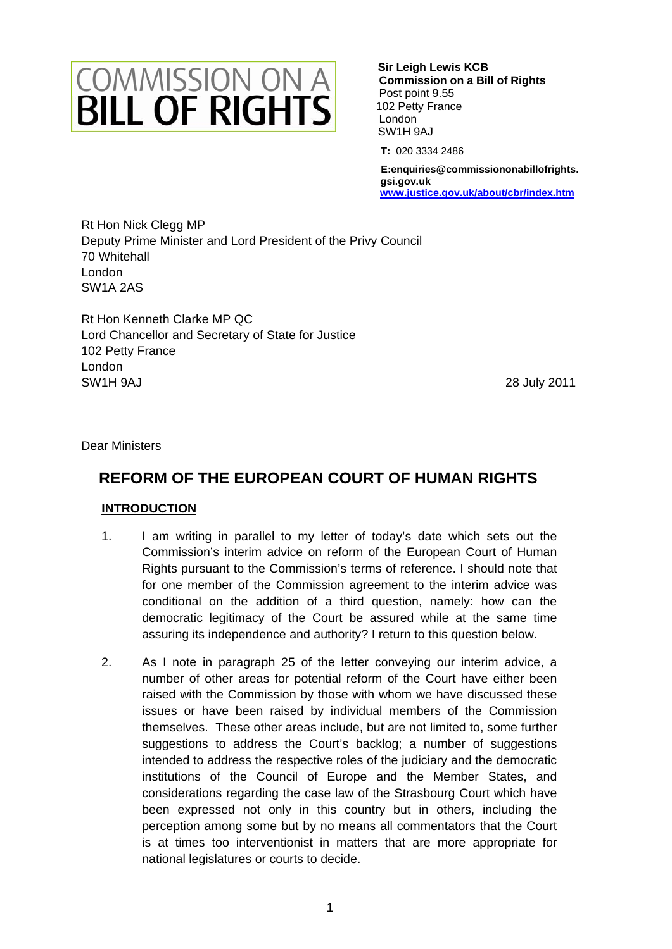# **COMMISSION ON A**<br>**BILL OF RIGHTS**

 **C ommission on a Bill of Rights**  P ost point 9.55 10 2 Petty France Lo ndon S W1H 9AJ  **Sir Leigh Lewis KCB** 

 **T:** 020 3334 2486

 **E: enquiries@commissiononabillofrights. gs i.gov.uk w ww.justice.gov.uk/about/cbr/index.htm**

Rt Hon Nick Clegg MP Deputy Prime Minister and Lord President of the Privy Council 70 Whitehall London SW1A 2AS

Rt Hon Kenneth Clarke MP QC Lord Chancellor and Secretary of State for Justice 102 Petty France London SW1H 9AJ 28 July 2011

Dear Ministers

# **REFORM OF THE EUROPEAN COURT OF HUMAN RIGHTS**

### **INTRODUCTION**

- 1. I am writing in parallel to my letter of today's date which sets out the Commission's interim advice on reform of the European Court of Human Rights pursuant to the Commission's terms of reference. I should note that for one member of the Commission agreement to the interim advice was conditional on the addition of a third question, namely: how can the democratic legitimacy of the Court be assured while at the same time assuring its independence and authority? I return to this question below.
- 2. As I note in paragraph 25 of the letter conveying our interim advice, a number of other areas for potential reform of the Court have either been raised with the Commission by those with whom we have discussed these issues or have been raised by individual members of the Commission themselves. These other areas include, but are not limited to, some further suggestions to address the Court's backlog; a number of suggestions intended to address the respective roles of the judiciary and the democratic institutions of the Council of Europe and the Member States, and considerations regarding the case law of the Strasbourg Court which have been expressed not only in this country but in others, including the perception among some but by no means all commentators that the Court is at times too interventionist in matters that are more appropriate for national legislatures or courts to decide.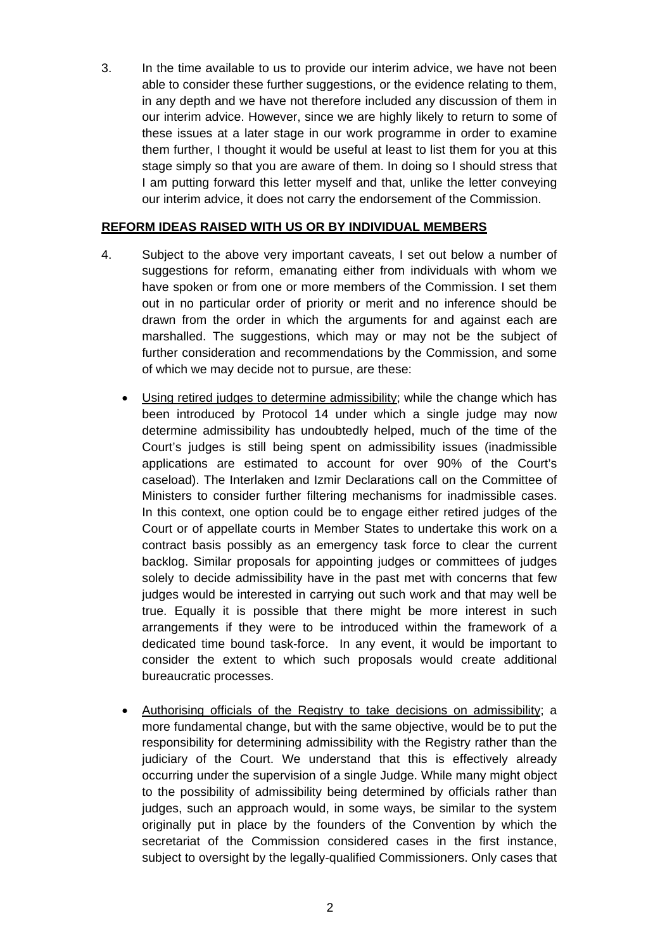3. In the time available to us to provide our interim advice, we have not been able to consider these further suggestions, or the evidence relating to them, in any depth and we have not therefore included any discussion of them in our interim advice. However, since we are highly likely to return to some of these issues at a later stage in our work programme in order to examine them further, I thought it would be useful at least to list them for you at this stage simply so that you are aware of them. In doing so I should stress that I am putting forward this letter myself and that, unlike the letter conveying our interim advice, it does not carry the endorsement of the Commission.

### **REFORM IDEAS RAISED WITH US OR BY INDIVIDUAL MEMBERS**

- 4. Subject to the above very important caveats, I set out below a number of suggestions for reform, emanating either from individuals with whom we have spoken or from one or more members of the Commission. I set them out in no particular order of priority or merit and no inference should be drawn from the order in which the arguments for and against each are marshalled. The suggestions, which may or may not be the subject of further consideration and recommendations by the Commission, and some of which we may decide not to pursue, are these:
	- Using retired judges to determine admissibility; while the change which has been introduced by Protocol 14 under which a single judge may now determine admissibility has undoubtedly helped, much of the time of the Court's judges is still being spent on admissibility issues (inadmissible applications are estimated to account for over 90% of the Court's caseload). The Interlaken and Izmir Declarations call on the Committee of Ministers to consider further filtering mechanisms for inadmissible cases. In this context, one option could be to engage either retired judges of the Court or of appellate courts in Member States to undertake this work on a contract basis possibly as an emergency task force to clear the current backlog. Similar proposals for appointing judges or committees of judges solely to decide admissibility have in the past met with concerns that few judges would be interested in carrying out such work and that may well be true. Equally it is possible that there might be more interest in such arrangements if they were to be introduced within the framework of a dedicated time bound task-force. In any event, it would be important to consider the extent to which such proposals would create additional bureaucratic processes.
	- Authorising officials of the Registry to take decisions on admissibility; a more fundamental change, but with the same objective, would be to put the responsibility for determining admissibility with the Registry rather than the judiciary of the Court. We understand that this is effectively already occurring under the supervision of a single Judge. While many might object to the possibility of admissibility being determined by officials rather than judges, such an approach would, in some ways, be similar to the system originally put in place by the founders of the Convention by which the secretariat of the Commission considered cases in the first instance, subject to oversight by the legally-qualified Commissioners. Only cases that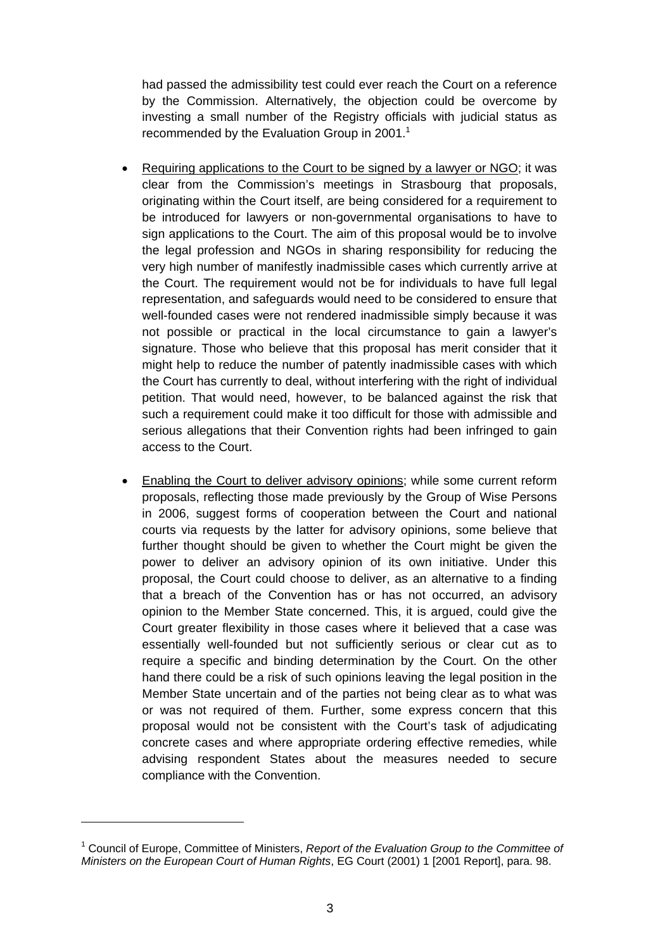had passed the admissibility test could ever reach the Court on a reference by the Commission. Alternatively, the objection could be overcome by investing a small number of the Registry officials with judicial status as recommended by the Evaluation Group in 2001.<sup>1</sup>

- Requiring applications to the Court to be signed by a lawyer or NGO; it was clear from the Commission's meetings in Strasbourg that proposals, originating within the Court itself, are being considered for a requirement to be introduced for lawyers or non-governmental organisations to have to sign applications to the Court. The aim of this proposal would be to involve the legal profession and NGOs in sharing responsibility for reducing the very high number of manifestly inadmissible cases which currently arrive at the Court. The requirement would not be for individuals to have full legal representation, and safeguards would need to be considered to ensure that well-founded cases were not rendered inadmissible simply because it was not possible or practical in the local circumstance to gain a lawyer's signature. Those who believe that this proposal has merit consider that it might help to reduce the number of patently inadmissible cases with which the Court has currently to deal, without interfering with the right of individual petition. That would need, however, to be balanced against the risk that such a requirement could make it too difficult for those with admissible and serious allegations that their Convention rights had been infringed to gain access to the Court.
- Enabling the Court to deliver advisory opinions; while some current reform proposals, reflecting those made previously by the Group of Wise Persons in 2006, suggest forms of cooperation between the Court and national courts via requests by the latter for advisory opinions, some believe that further thought should be given to whether the Court might be given the power to deliver an advisory opinion of its own initiative. Under this proposal, the Court could choose to deliver, as an alternative to a finding that a breach of the Convention has or has not occurred, an advisory opinion to the Member State concerned. This, it is argued, could give the Court greater flexibility in those cases where it believed that a case was essentially well-founded but not sufficiently serious or clear cut as to require a specific and binding determination by the Court. On the other hand there could be a risk of such opinions leaving the legal position in the Member State uncertain and of the parties not being clear as to what was or was not required of them. Further, some express concern that this proposal would not be consistent with the Court's task of adjudicating concrete cases and where appropriate ordering effective remedies, while advising respondent States about the measures needed to secure compliance with the Convention.

<sup>&</sup>lt;sup>1</sup> Council of Europe, Committee of Ministers, *Report of the Evaluation Group to the Committee of Ministers on the European Court of Human Rights*, EG Court (2001) 1 [2001 Report], para. 98.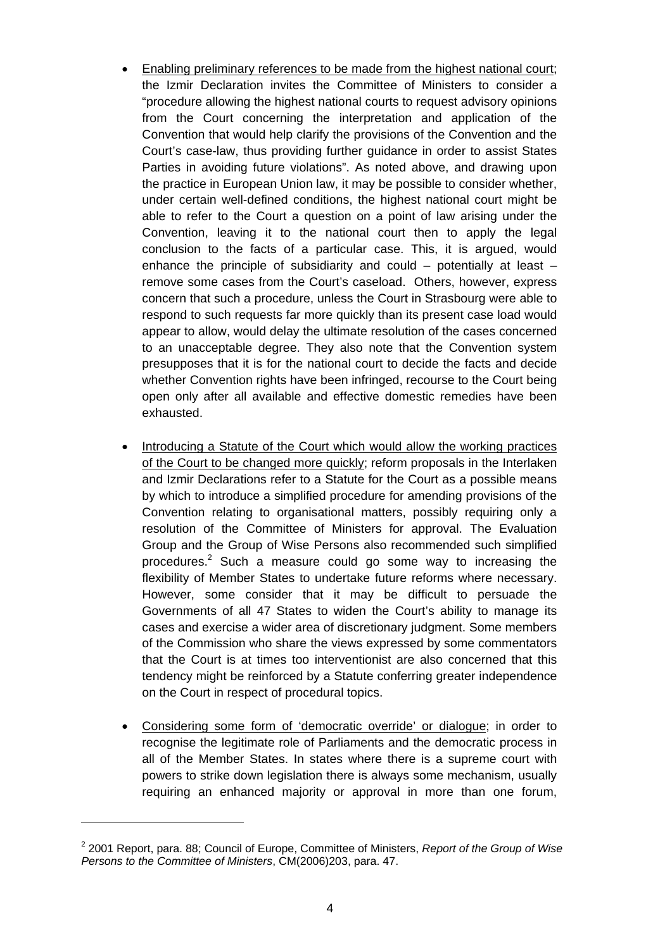- Enabling preliminary references to be made from the highest national court; the Izmir Declaration invites the Committee of Ministers to consider a "procedure allowing the highest national courts to request advisory opinions from the Court concerning the interpretation and application of the Convention that would help clarify the provisions of the Convention and the Court's case-law, thus providing further guidance in order to assist States Parties in avoiding future violations". As noted above, and drawing upon the practice in European Union law, it may be possible to consider whether, under certain well-defined conditions, the highest national court might be able to refer to the Court a question on a point of law arising under the Convention, leaving it to the national court then to apply the legal conclusion to the facts of a particular case. This, it is argued, would enhance the principle of subsidiarity and could – potentially at least – remove some cases from the Court's caseload. Others, however, express concern that such a procedure, unless the Court in Strasbourg were able to respond to such requests far more quickly than its present case load would appear to allow, would delay the ultimate resolution of the cases concerned to an unacceptable degree. They also note that the Convention system presupposes that it is for the national court to decide the facts and decide whether Convention rights have been infringed, recourse to the Court being open only after all available and effective domestic remedies have been exhausted.
- Introducing a Statute of the Court which would allow the working practices of the Court to be changed more quickly; reform proposals in the Interlaken and Izmir Declarations refer to a Statute for the Court as a possible means by which to introduce a simplified procedure for amending provisions of the Convention relating to organisational matters, possibly requiring only a resolution of the Committee of Ministers for approval. The Evaluation Group and the Group of Wise Persons also recommended such simplified procedures.<sup>2</sup> Such a measure could go some way to increasing the flexibility of Member States to undertake future reforms where necessary. However, some consider that it may be difficult to persuade the Governments of all 47 States to widen the Court's ability to manage its cases and exercise a wider area of discretionary judgment. Some members of the Commission who share the views expressed by some commentators that the Court is at times too interventionist are also concerned that this tendency might be reinforced by a Statute conferring greater independence on the Court in respect of procedural topics.
- Considering some form of 'democratic override' or dialogue; in order to recognise the legitimate role of Parliaments and the democratic process in all of the Member States. In states where there is a supreme court with powers to strike down legislation there is always some mechanism, usually requiring an enhanced majority or approval in more than one forum,

<sup>2</sup> 2001 Report, para. 88; Council of Europe, Committee of Ministers, *Report of the Group of Wise Persons to the Committee of Ministers*, CM(2006)203, para. 47.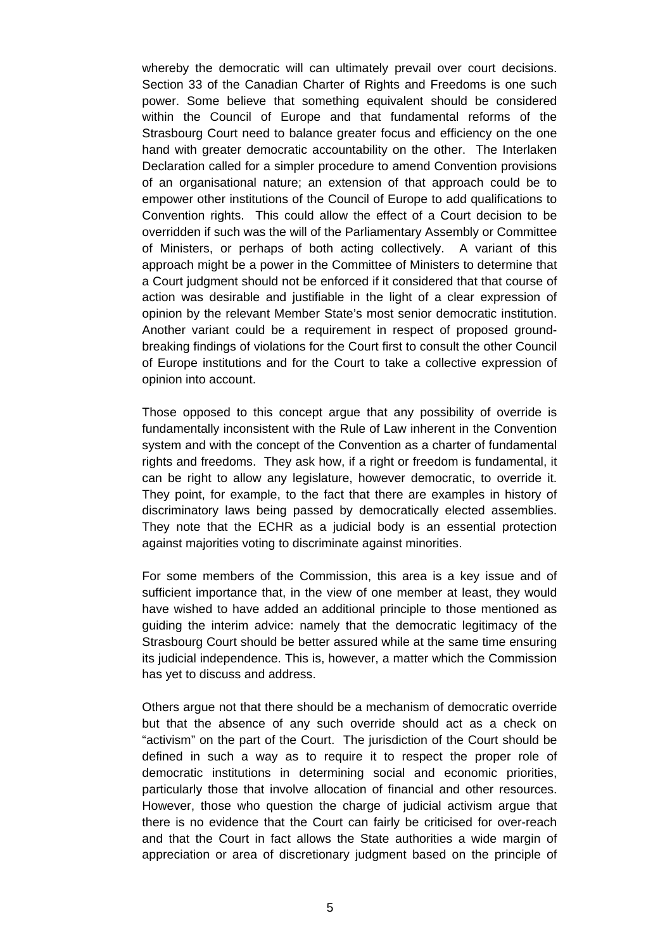whereby the democratic will can ultimately prevail over court decisions. Section 33 of the Canadian Charter of Rights and Freedoms is one such power. Some believe that something equivalent should be considered within the Council of Europe and that fundamental reforms of the Strasbourg Court need to balance greater focus and efficiency on the one hand with greater democratic accountability on the other. The Interlaken Declaration called for a simpler procedure to amend Convention provisions of an organisational nature; an extension of that approach could be to empower other institutions of the Council of Europe to add qualifications to Convention rights. This could allow the effect of a Court decision to be overridden if such was the will of the Parliamentary Assembly or Committee of Ministers, or perhaps of both acting collectively. A variant of this approach might be a power in the Committee of Ministers to determine that a Court judgment should not be enforced if it considered that that course of action was desirable and justifiable in the light of a clear expression of opinion by the relevant Member State's most senior democratic institution. Another variant could be a requirement in respect of proposed groundbreaking findings of violations for the Court first to consult the other Council of Europe institutions and for the Court to take a collective expression of opinion into account.

Those opposed to this concept argue that any possibility of override is fundamentally inconsistent with the Rule of Law inherent in the Convention system and with the concept of the Convention as a charter of fundamental rights and freedoms. They ask how, if a right or freedom is fundamental, it can be right to allow any legislature, however democratic, to override it. They point, for example, to the fact that there are examples in history of discriminatory laws being passed by democratically elected assemblies. They note that the ECHR as a judicial body is an essential protection against majorities voting to discriminate against minorities.

For some members of the Commission, this area is a key issue and of sufficient importance that, in the view of one member at least, they would have wished to have added an additional principle to those mentioned as guiding the interim advice: namely that the democratic legitimacy of the Strasbourg Court should be better assured while at the same time ensuring its judicial independence. This is, however, a matter which the Commission has yet to discuss and address.

Others argue not that there should be a mechanism of democratic override but that the absence of any such override should act as a check on "activism" on the part of the Court. The jurisdiction of the Court should be defined in such a way as to require it to respect the proper role of democratic institutions in determining social and economic priorities, particularly those that involve allocation of financial and other resources. However, those who question the charge of judicial activism argue that there is no evidence that the Court can fairly be criticised for over-reach and that the Court in fact allows the State authorities a wide margin of appreciation or area of discretionary judgment based on the principle of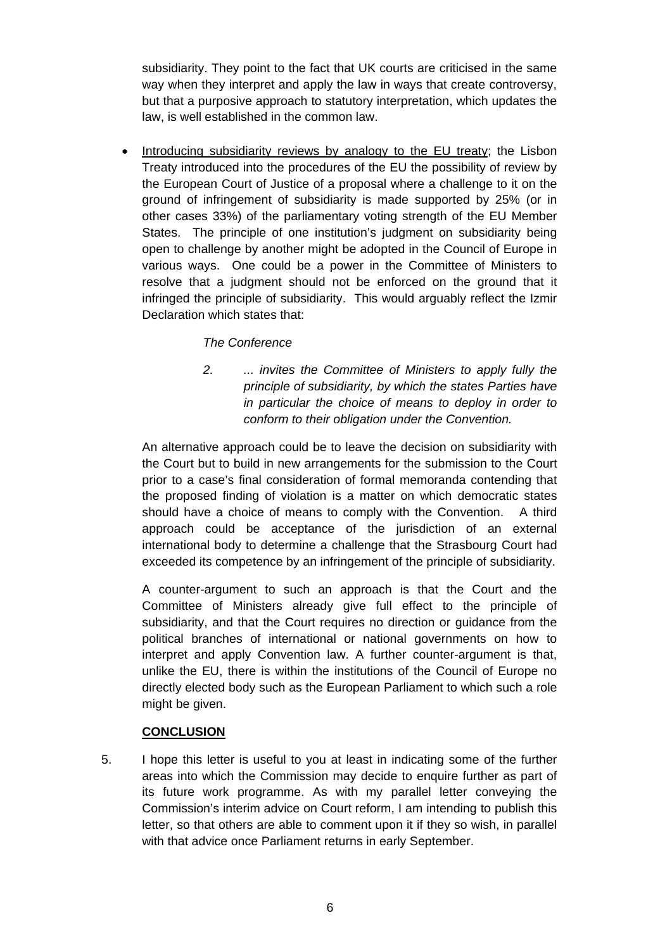subsidiarity. They point to the fact that UK courts are criticised in the same way when they interpret and apply the law in ways that create controversy, but that a purposive approach to statutory interpretation, which updates the law, is well established in the common law.

 Introducing subsidiarity reviews by analogy to the EU treaty; the Lisbon Treaty introduced into the procedures of the EU the possibility of review by the European Court of Justice of a proposal where a challenge to it on the ground of infringement of subsidiarity is made supported by 25% (or in other cases 33%) of the parliamentary voting strength of the EU Member States. The principle of one institution's judgment on subsidiarity being open to challenge by another might be adopted in the Council of Europe in various ways. One could be a power in the Committee of Ministers to resolve that a judgment should not be enforced on the ground that it infringed the principle of subsidiarity. This would arguably reflect the Izmir Declaration which states that:

## *The Conference*

*2. ... invites the Committee of Ministers to apply fully the principle of subsidiarity, by which the states Parties have in particular the choice of means to deploy in order to conform to their obligation under the Convention.* 

An alternative approach could be to leave the decision on subsidiarity with the Court but to build in new arrangements for the submission to the Court prior to a case's final consideration of formal memoranda contending that the proposed finding of violation is a matter on which democratic states should have a choice of means to comply with the Convention. A third approach could be acceptance of the jurisdiction of an external international body to determine a challenge that the Strasbourg Court had exceeded its competence by an infringement of the principle of subsidiarity.

A counter-argument to such an approach is that the Court and the Committee of Ministers already give full effect to the principle of subsidiarity, and that the Court requires no direction or guidance from the political branches of international or national governments on how to interpret and apply Convention law. A further counter-argument is that, unlike the EU, there is within the institutions of the Council of Europe no directly elected body such as the European Parliament to which such a role might be given.

### **CONCLUSION**

5. I hope this letter is useful to you at least in indicating some of the further areas into which the Commission may decide to enquire further as part of its future work programme. As with my parallel letter conveying the Commission's interim advice on Court reform, I am intending to publish this letter, so that others are able to comment upon it if they so wish, in parallel with that advice once Parliament returns in early September.